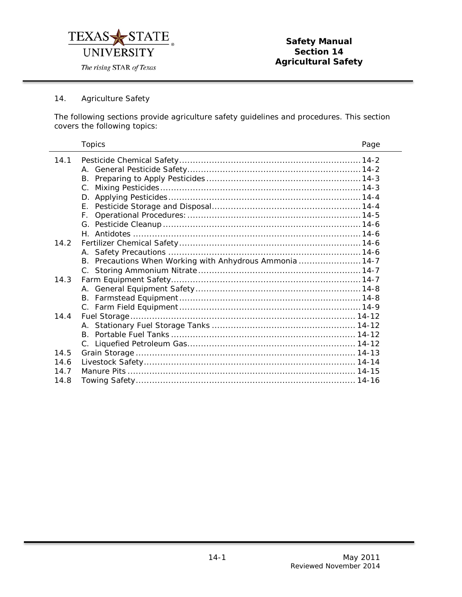

# 14. Agriculture Safety

L,

The following sections provide agriculture safety guidelines and procedures. This section covers the following topics:

|      | <b>Topics</b>                                            | Page |
|------|----------------------------------------------------------|------|
| 14.1 |                                                          |      |
|      |                                                          |      |
|      | B.                                                       |      |
|      | $C_{1}$                                                  |      |
|      |                                                          |      |
|      | F.                                                       |      |
|      | F.                                                       |      |
|      |                                                          |      |
|      |                                                          |      |
| 14.2 |                                                          |      |
|      |                                                          |      |
|      | B. Precautions When Working with Anhydrous Ammonia  14-7 |      |
|      |                                                          |      |
| 14.3 |                                                          |      |
|      |                                                          |      |
|      |                                                          |      |
|      |                                                          |      |
| 14.4 |                                                          |      |
|      |                                                          |      |
|      |                                                          |      |
|      |                                                          |      |
| 14.5 |                                                          |      |
| 14.6 |                                                          |      |
| 14 7 |                                                          |      |
| 14.8 |                                                          |      |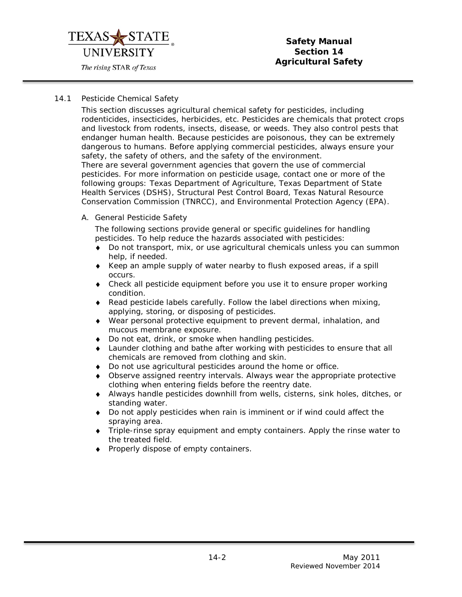

#### <span id="page-1-0"></span>14.1 Pesticide Chemical Safety

This section discusses agricultural chemical safety for pesticides, including rodenticides, insecticides, herbicides, etc. Pesticides are chemicals that protect crops and livestock from rodents, insects, disease, or weeds. They also control pests that endanger human health. Because pesticides are poisonous, they can be extremely dangerous to humans. Before applying commercial pesticides, always ensure your safety, the safety of others, and the safety of the environment. There are several government agencies that govern the use of commercial

pesticides. For more information on pesticide usage, contact one or more of the following groups: Texas Department of Agriculture, Texas Department of State Health Services (DSHS), Structural Pest Control Board, Texas Natural Resource Conservation Commission (TNRCC), and Environmental Protection Agency (EPA).

<span id="page-1-1"></span>A. General Pesticide Safety

The following sections provide general or specific guidelines for handling pesticides. To help reduce the hazards associated with pesticides:

- Do not transport, mix, or use agricultural chemicals unless you can summon help, if needed.
- ♦ Keep an ample supply of water nearby to flush exposed areas, if a spill occurs.
- ♦ Check all pesticide equipment before you use it to ensure proper working condition.
- $\bullet$  Read pesticide labels carefully. Follow the label directions when mixing, applying, storing, or disposing of pesticides.
- ♦ Wear personal protective equipment to prevent dermal, inhalation, and mucous membrane exposure.
- ♦ Do not eat, drink, or smoke when handling pesticides.
- ♦ Launder clothing and bathe after working with pesticides to ensure that all chemicals are removed from clothing and skin.
- ♦ Do not use agricultural pesticides around the home or office.
- ♦ Observe assigned reentry intervals. Always wear the appropriate protective clothing when entering fields before the reentry date.
- ♦ Always handle pesticides downhill from wells, cisterns, sink holes, ditches, or standing water.
- ♦ Do not apply pesticides when rain is imminent or if wind could affect the spraying area.
- ♦ Triple-rinse spray equipment and empty containers. Apply the rinse water to the treated field.
- ♦ Properly dispose of empty containers.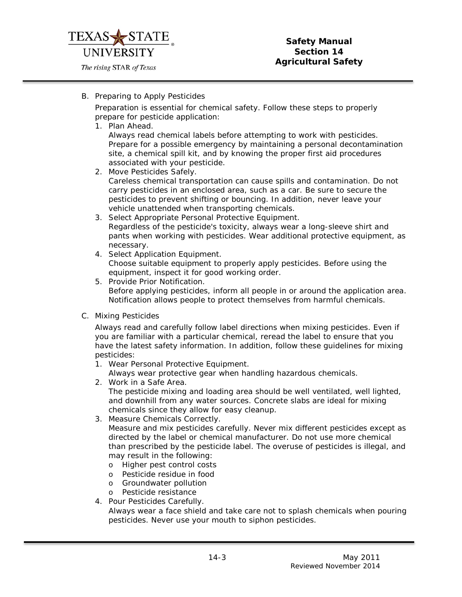

# <span id="page-2-0"></span>B. Preparing to Apply Pesticides

Preparation is essential for chemical safety. Follow these steps to properly prepare for pesticide application:

1. Plan Ahead.

Always read chemical labels before attempting to work with pesticides. Prepare for a possible emergency by maintaining a personal decontamination site, a chemical spill kit, and by knowing the proper first aid procedures associated with your pesticide.

- 2. Move Pesticides Safely. Careless chemical transportation can cause spills and contamination. Do not carry pesticides in an enclosed area, such as a car. Be sure to secure the pesticides to prevent shifting or bouncing. In addition, never leave your vehicle unattended when transporting chemicals.
- 3. Select Appropriate Personal Protective Equipment. Regardless of the pesticide's toxicity, always wear a long-sleeve shirt and pants when working with pesticides. Wear additional protective equipment, as necessary.
- 4. Select Application Equipment. Choose suitable equipment to properly apply pesticides. Before using the equipment, inspect it for good working order.
- 5. Provide Prior Notification. Before applying pesticides, inform all people in or around the application area. Notification allows people to protect themselves from harmful chemicals.
- <span id="page-2-1"></span>C. Mixing Pesticides

Always read and carefully follow label directions when mixing pesticides. Even if you are familiar with a particular chemical, reread the label to ensure that you have the latest safety information. In addition, follow these guidelines for mixing pesticides:

1. Wear Personal Protective Equipment.

Always wear protective gear when handling hazardous chemicals.

- 2. Work in a Safe Area. The pesticide mixing and loading area should be well ventilated, well lighted, and downhill from any water sources. Concrete slabs are ideal for mixing chemicals since they allow for easy cleanup.
- 3. Measure Chemicals Correctly. Measure and mix pesticides carefully. Never mix different pesticides except as directed by the label or chemical manufacturer. Do not use more chemical than prescribed by the pesticide label. The overuse of pesticides is illegal, and may result in the following:
	- o Higher pest control costs
	- o Pesticide residue in food
	- o Groundwater pollution
	- o Pesticide resistance
- 4. Pour Pesticides Carefully. Always wear a face shield and take care not to splash chemicals when pouring pesticides. Never use your mouth to siphon pesticides.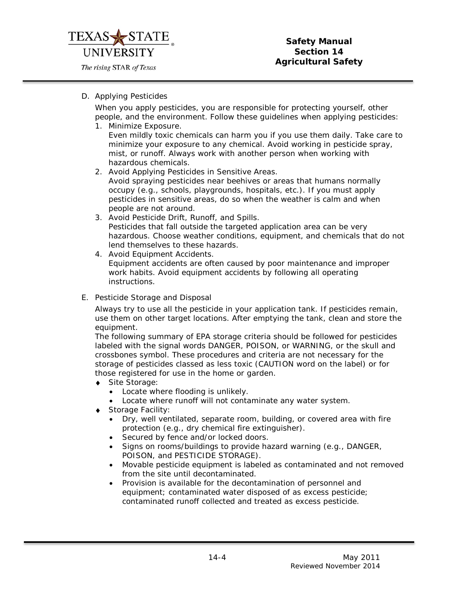

## <span id="page-3-0"></span>D. Applying Pesticides

When you apply pesticides, you are responsible for protecting yourself, other people, and the environment. Follow these guidelines when applying pesticides:

1. Minimize Exposure.

Even mildly toxic chemicals can harm you if you use them daily. Take care to minimize your exposure to any chemical. Avoid working in pesticide spray, mist, or runoff. Always work with another person when working with hazardous chemicals.

- 2. Avoid Applying Pesticides in Sensitive Areas. Avoid spraying pesticides near beehives or areas that humans normally occupy (e.g., schools, playgrounds, hospitals, etc.). If you must apply pesticides in sensitive areas, do so when the weather is calm and when people are not around.
- 3. Avoid Pesticide Drift, Runoff, and Spills. Pesticides that fall outside the targeted application area can be very hazardous. Choose weather conditions, equipment, and chemicals that do not lend themselves to these hazards.
- 4. Avoid Equipment Accidents. Equipment accidents are often caused by poor maintenance and improper work habits. Avoid equipment accidents by following all operating instructions.
- <span id="page-3-1"></span>E. Pesticide Storage and Disposal

Always try to use all the pesticide in your application tank. If pesticides remain, use them on other target locations. After emptying the tank, clean and store the equipment.

The following summary of EPA storage criteria should be followed for pesticides labeled with the signal words DANGER, POISON, or WARNING, or the skull and crossbones symbol. These procedures and criteria are not necessary for the storage of pesticides classed as less toxic (CAUTION word on the label) or for those registered for use in the home or garden.

- ♦ Site Storage:
	- Locate where flooding is unlikely.
	- Locate where runoff will not contaminate any water system.
- ♦ Storage Facility:
	- Dry, well ventilated, separate room, building, or covered area with fire protection (e.g., dry chemical fire extinguisher).
	- Secured by fence and/or locked doors.
	- Signs on rooms/buildings to provide hazard warning (e.g., DANGER, POISON, and PESTICIDE STORAGE).
	- Movable pesticide equipment is labeled as contaminated and not removed from the site until decontaminated.
	- Provision is available for the decontamination of personnel and equipment; contaminated water disposed of as excess pesticide; contaminated runoff collected and treated as excess pesticide.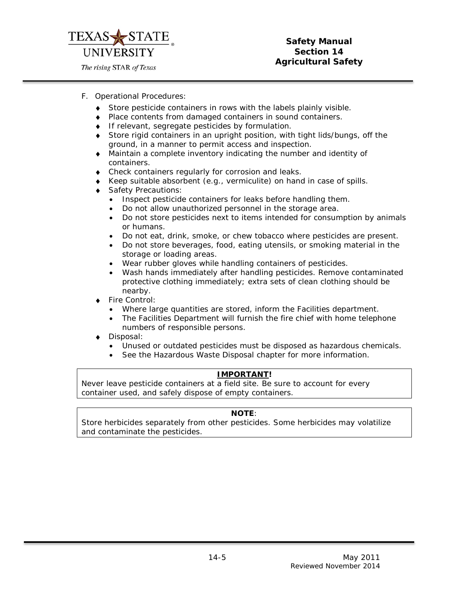

- <span id="page-4-0"></span>F. Operational Procedures:
	- ♦ Store pesticide containers in rows with the labels plainly visible.
	- ♦ Place contents from damaged containers in sound containers.
	- ♦ If relevant, segregate pesticides by formulation.
	- ♦ Store rigid containers in an upright position, with tight lids/bungs, off the ground, in a manner to permit access and inspection.
	- ♦ Maintain a complete inventory indicating the number and identity of containers.
	- ♦ Check containers regularly for corrosion and leaks.
	- Keep suitable absorbent (e.g., vermiculite) on hand in case of spills.
	- Safety Precautions:
		- Inspect pesticide containers for leaks before handling them.
		- Do not allow unauthorized personnel in the storage area.
		- Do not store pesticides next to items intended for consumption by animals or humans.
		- Do not eat, drink, smoke, or chew tobacco where pesticides are present.
		- Do not store beverages, food, eating utensils, or smoking material in the storage or loading areas.
		- Wear rubber gloves while handling containers of pesticides.
		- Wash hands immediately after handling pesticides. Remove contaminated protective clothing immediately; extra sets of clean clothing should be nearby.
	- Fire Control:
		- Where large quantities are stored, inform the Facilities department.
		- The Facilities Department will furnish the fire chief with home telephone numbers of responsible persons.
	- Disposal:
		- Unused or outdated pesticides must be disposed as hazardous chemicals.
		- See the Hazardous Waste Disposal chapter for more information.

# *IMPORTANT!*

*Never leave pesticide containers at a field site. Be sure to account for every container used, and safely dispose of empty containers.*

#### **NOTE***:*

*Store herbicides separately from other pesticides. Some herbicides may volatilize and contaminate the pesticides.*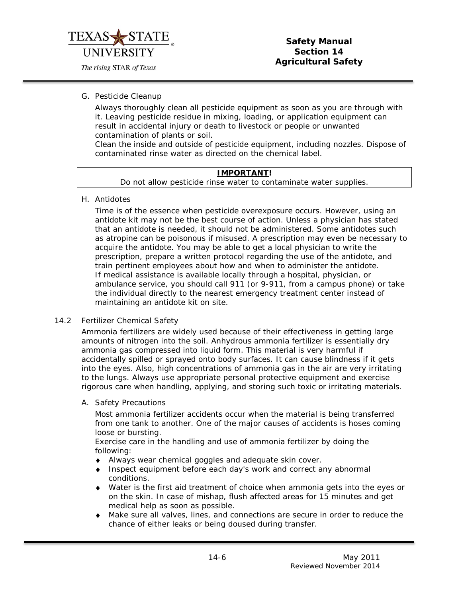

# **Safety Manual Section 14 Agricultural Safety**

<span id="page-5-0"></span>G. Pesticide Cleanup

Always thoroughly clean all pesticide equipment as soon as you are through with it. Leaving pesticide residue in mixing, loading, or application equipment can result in accidental injury or death to livestock or people or unwanted contamination of plants or soil.

Clean the inside and outside of pesticide equipment, including nozzles. Dispose of contaminated rinse water as directed on the chemical label.

#### *IMPORTANT!*

*Do not allow pesticide rinse water to contaminate water supplies.*

<span id="page-5-1"></span>H. Antidotes

Time is of the essence when pesticide overexposure occurs. However, using an antidote kit may not be the best course of action. Unless a physician has stated that an antidote is needed, it should not be administered. Some antidotes such as atropine can be poisonous if misused. A prescription may even be necessary to acquire the antidote. You may be able to get a local physician to write the prescription, prepare a written protocol regarding the use of the antidote, and train pertinent employees about how and when to administer the antidote. If medical assistance is available locally through a hospital, physician, or ambulance service, you should call 911 (or 9-911, from a campus phone) or take the individual directly to the nearest emergency treatment center instead of maintaining an antidote kit on site.

#### <span id="page-5-2"></span>14.2 Fertilizer Chemical Safety

Ammonia fertilizers are widely used because of their effectiveness in getting large amounts of nitrogen into the soil. Anhydrous ammonia fertilizer is essentially dry ammonia gas compressed into liquid form. This material is very harmful if accidentally spilled or sprayed onto body surfaces. It can cause blindness if it gets into the eyes. Also, high concentrations of ammonia gas in the air are very irritating to the lungs. Always use appropriate personal protective equipment and exercise rigorous care when handling, applying, and storing such toxic or irritating materials.

<span id="page-5-3"></span>A. Safety Precautions

Most ammonia fertilizer accidents occur when the material is being transferred from one tank to another. One of the major causes of accidents is hoses coming loose or bursting.

Exercise care in the handling and use of ammonia fertilizer by doing the following:

- ♦ Always wear chemical goggles and adequate skin cover.
- ♦ Inspect equipment before each day's work and correct any abnormal conditions.
- ♦ Water is the first aid treatment of choice when ammonia gets into the eyes or on the skin. In case of mishap, flush affected areas for 15 minutes and get medical help as soon as possible.
- ♦ Make sure all valves, lines, and connections are secure in order to reduce the chance of either leaks or being doused during transfer.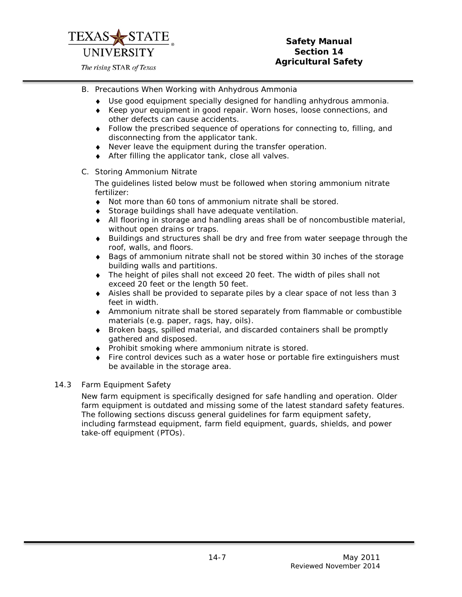

# **Safety Manual Section 14 Agricultural Safety**

- <span id="page-6-0"></span>B. Precautions When Working with Anhydrous Ammonia
	- ♦ Use good equipment specially designed for handling anhydrous ammonia.
	- ♦ Keep your equipment in good repair. Worn hoses, loose connections, and other defects can cause accidents.
	- ♦ Follow the prescribed sequence of operations for connecting to, filling, and disconnecting from the applicator tank.
	- ♦ Never leave the equipment during the transfer operation.
	- ♦ After filling the applicator tank, close all valves.
- <span id="page-6-1"></span>C. Storing Ammonium Nitrate

The guidelines listed below must be followed when storing ammonium nitrate fertilizer:

- ♦ Not more than 60 tons of ammonium nitrate shall be stored.
- ♦ Storage buildings shall have adequate ventilation.
- ♦ All flooring in storage and handling areas shall be of noncombustible material, without open drains or traps.
- ♦ Buildings and structures shall be dry and free from water seepage through the roof, walls, and floors.
- ♦ Bags of ammonium nitrate shall not be stored within 30 inches of the storage building walls and partitions.
- ♦ The height of piles shall not exceed 20 feet. The width of piles shall not exceed 20 feet or the length 50 feet.
- ♦ Aisles shall be provided to separate piles by a clear space of not less than 3 feet in width.
- ♦ Ammonium nitrate shall be stored separately from flammable or combustible materials (e.g. paper, rags, hay, oils).
- ♦ Broken bags, spilled material, and discarded containers shall be promptly gathered and disposed.
- ♦ Prohibit smoking where ammonium nitrate is stored.
- ♦ Fire control devices such as a water hose or portable fire extinguishers must be available in the storage area.

#### <span id="page-6-2"></span>14.3 Farm Equipment Safety

New farm equipment is specifically designed for safe handling and operation. Older farm equipment is outdated and missing some of the latest standard safety features. The following sections discuss general guidelines for farm equipment safety, including farmstead equipment, farm field equipment, guards, shields, and power take-off equipment (PTOs).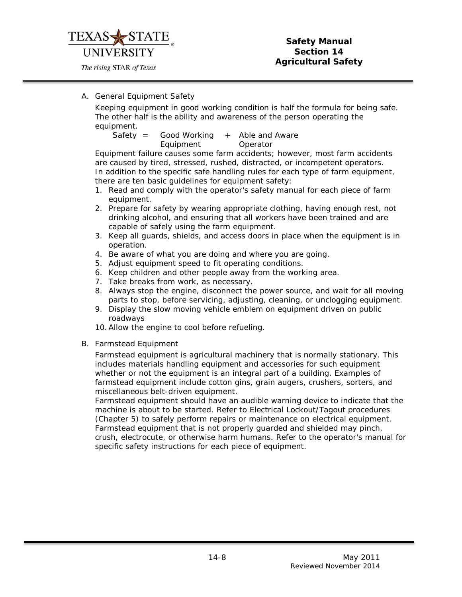

# <span id="page-7-0"></span>A. General Equipment Safety

Keeping equipment in good working condition is half the formula for being safe. The other half is the ability and awareness of the person operating the equipment.

Safety = Good Working Equipment + Able and Aware Operator

Equipment failure causes some farm accidents; however, most farm accidents are caused by tired, stressed, rushed, distracted, or incompetent operators. In addition to the specific safe handling rules for each type of farm equipment, there are ten basic guidelines for equipment safety:

- 1. Read and comply with the operator's safety manual for each piece of farm equipment.
- 2. Prepare for safety by wearing appropriate clothing, having enough rest, not drinking alcohol, and ensuring that all workers have been trained and are capable of safely using the farm equipment.
- 3. Keep all guards, shields, and access doors in place when the equipment is in operation.
- 4. Be aware of what you are doing and where you are going.
- 5. Adjust equipment speed to fit operating conditions.
- 6. Keep children and other people away from the working area.
- 7. Take breaks from work, as necessary.
- 8. Always stop the engine, disconnect the power source, and wait for all moving parts to stop, before servicing, adjusting, cleaning, or unclogging equipment.
- 9. Display the slow moving vehicle emblem on equipment driven on public roadways
- 10.Allow the engine to cool before refueling.
- <span id="page-7-1"></span>B. Farmstead Equipment

Farmstead equipment is agricultural machinery that is normally stationary. This includes materials handling equipment and accessories for such equipment whether or not the equipment is an integral part of a building. Examples of farmstead equipment include cotton gins, grain augers, crushers, sorters, and miscellaneous belt-driven equipment.

Farmstead equipment should have an audible warning device to indicate that the machine is about to be started. Refer to Electrical Lockout/Tagout procedures (Chapter 5) to safely perform repairs or maintenance on electrical equipment. Farmstead equipment that is not properly guarded and shielded may pinch, crush, electrocute, or otherwise harm humans. Refer to the operator's manual for specific safety instructions for each piece of equipment.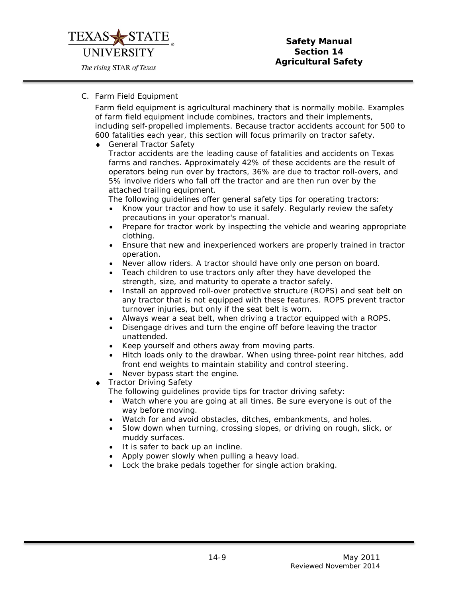

## **Safety Manual Section 14 Agricultural Safety**

# <span id="page-8-0"></span>C. Farm Field Equipment

Farm field equipment is agricultural machinery that is normally mobile. Examples of farm field equipment include combines, tractors and their implements, including self-propelled implements. Because tractor accidents account for 500 to 600 fatalities each year, this section will focus primarily on tractor safety.

♦ General Tractor Safety

Tractor accidents are the leading cause of fatalities and accidents on Texas farms and ranches. Approximately 42% of these accidents are the result of operators being run over by tractors, 36% are due to tractor roll-overs, and 5% involve riders who fall off the tractor and are then run over by the attached trailing equipment.

The following guidelines offer general safety tips for operating tractors:

- Know your tractor and how to use it safely. Regularly review the safety precautions in your operator's manual.
- Prepare for tractor work by inspecting the vehicle and wearing appropriate clothing.
- Ensure that new and inexperienced workers are properly trained in tractor operation.
- Never allow riders. A tractor should have only one person on board.
- Teach children to use tractors only after they have developed the strength, size, and maturity to operate a tractor safely.
- Install an approved roll-over protective structure (ROPS) and seat belt on any tractor that is not equipped with these features. ROPS prevent tractor turnover injuries, but only if the seat belt is worn.
- Always wear a seat belt, when driving a tractor equipped with a ROPS.
- Disengage drives and turn the engine off before leaving the tractor unattended.
- Keep yourself and others away from moving parts.
- Hitch loads only to the drawbar. When using three-point rear hitches, add front end weights to maintain stability and control steering.
- Never bypass start the engine.
- Tractor Driving Safety

The following guidelines provide tips for tractor driving safety:

- Watch where you are going at all times. Be sure everyone is out of the way before moving.
- Watch for and avoid obstacles, ditches, embankments, and holes.
- Slow down when turning, crossing slopes, or driving on rough, slick, or muddy surfaces.
- It is safer to back up an incline.
- Apply power slowly when pulling a heavy load.
- Lock the brake pedals together for single action braking.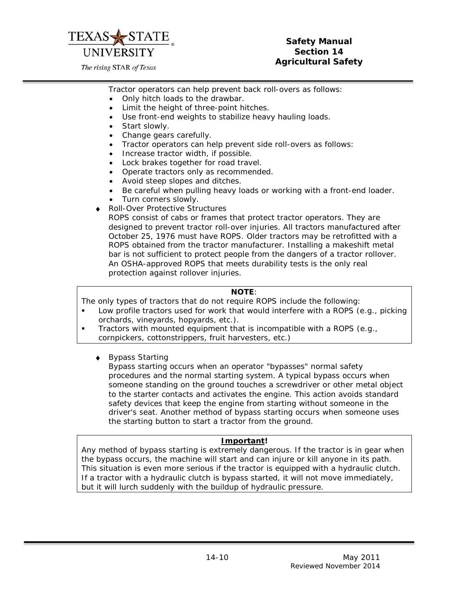

# **Safety Manual Section 14 Agricultural Safety**

Tractor operators can help prevent back roll-overs as follows:

- Only hitch loads to the drawbar.
- Limit the height of three-point hitches.
- Use front-end weights to stabilize heavy hauling loads.
- Start slowly.
- Change gears carefully.
- Tractor operators can help prevent side roll-overs as follows:
- Increase tractor width, if possible.
- Lock brakes together for road travel.
- Operate tractors only as recommended.
- Avoid steep slopes and ditches.
- Be careful when pulling heavy loads or working with a front-end loader.
- Turn corners slowly.
- Roll-Over Protective Structures

ROPS consist of cabs or frames that protect tractor operators. They are designed to prevent tractor roll-over injuries. All tractors manufactured after October 25, 1976 must have ROPS. Older tractors may be retrofitted with a ROPS obtained from the tractor manufacturer. Installing a makeshift metal bar is not sufficient to protect people from the dangers of a tractor rollover. An OSHA-approved ROPS that meets durability tests is the only real protection against rollover injuries.

#### **NOTE***:*

*The only types of tractors that do not require ROPS include the following:*

- Low profile tractors used for work that would interfere with a ROPS (e.g., picking orchards, vineyards, hopyards, etc.).
- Tractors with mounted equipment that is incompatible with a ROPS (e.g., cornpickers, cottonstrippers, fruit harvesters, etc.)
	- ♦ Bypass Starting

Bypass starting occurs when an operator "bypasses" normal safety procedures and the normal starting system. A typical bypass occurs when someone standing on the ground touches a screwdriver or other metal object to the starter contacts and activates the engine. This action avoids standard safety devices that keep the engine from starting without someone in the driver's seat. Another method of bypass starting occurs when someone uses the starting button to start a tractor from the ground.

# *Important!*

*Any method of bypass starting is extremely dangerous. If the tractor is in gear when the bypass occurs, the machine will start and can injure or kill anyone in its path. This situation is even more serious if the tractor is equipped with a hydraulic clutch. If a tractor with a hydraulic clutch is bypass started, it will not move immediately, but it will lurch suddenly with the buildup of hydraulic pressure.*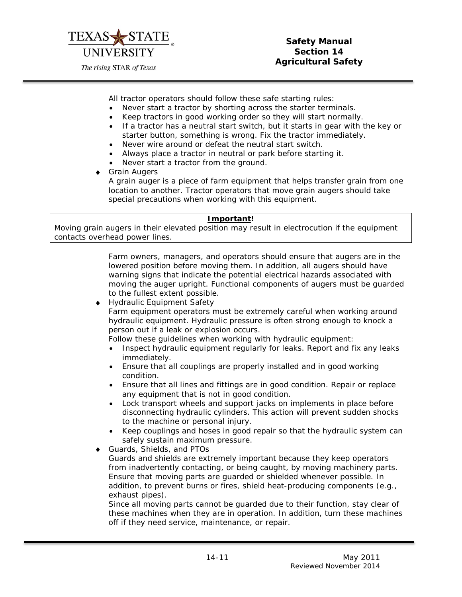

All tractor operators should follow these safe starting rules:

- Never start a tractor by shorting across the starter terminals.
- Keep tractors in good working order so they will start normally.
- If a tractor has a neutral start switch, but it starts in gear with the key or starter button, something is wrong. Fix the tractor immediately.
- Never wire around or defeat the neutral start switch.
- Always place a tractor in neutral or park before starting it.
- Never start a tractor from the ground.
- **Grain Augers** A grain auger is a piece of farm equipment that helps transfer grain from one location to another. Tractor operators that move grain augers should take special precautions when working with this equipment.

#### *Important!*

*Moving grain augers in their elevated position may result in electrocution if the equipment contacts overhead power lines.* 

> Farm owners, managers, and operators should ensure that augers are in the lowered position before moving them. In addition, all augers should have warning signs that indicate the potential electrical hazards associated with moving the auger upright. Functional components of augers must be guarded to the fullest extent possible.

Hydraulic Equipment Safety

Farm equipment operators must be extremely careful when working around hydraulic equipment. Hydraulic pressure is often strong enough to knock a person out if a leak or explosion occurs.

Follow these guidelines when working with hydraulic equipment:

- Inspect hydraulic equipment regularly for leaks. Report and fix any leaks immediately.
- Ensure that all couplings are properly installed and in good working condition.
- Ensure that all lines and fittings are in good condition. Repair or replace any equipment that is not in good condition.
- Lock transport wheels and support jacks on implements in place before disconnecting hydraulic cylinders. This action will prevent sudden shocks to the machine or personal injury.
- Keep couplings and hoses in good repair so that the hydraulic system can safely sustain maximum pressure.
- Guards, Shields, and PTOs Guards and shields are extremely important because they keep operators from inadvertently contacting, or being caught, by moving machinery parts. Ensure that moving parts are guarded or shielded whenever possible. In addition, to prevent burns or fires, shield heat-producing components (e.g., exhaust pipes).

Since all moving parts cannot be guarded due to their function, stay clear of these machines when they are in operation. In addition, turn these machines off if they need service, maintenance, or repair.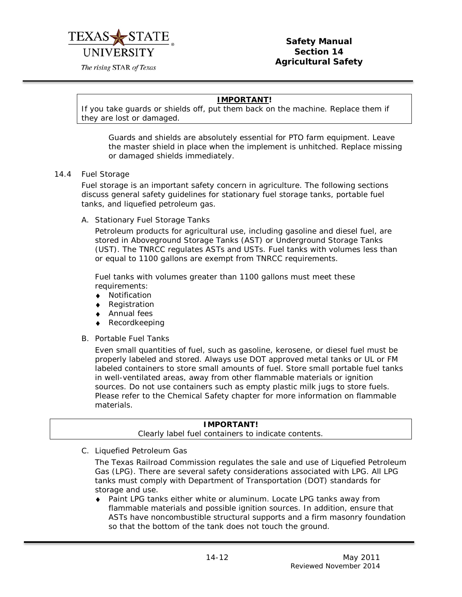

The rising STAR of Texas

# *IMPORTANT!*

*If you take guards or shields off, put them back on the machine. Replace them if they are lost or damaged.*

Guards and shields are absolutely essential for PTO farm equipment. Leave the master shield in place when the implement is unhitched. Replace missing or damaged shields immediately.

#### <span id="page-11-0"></span>14.4 Fuel Storage

Fuel storage is an important safety concern in agriculture. The following sections discuss general safety guidelines for stationary fuel storage tanks, portable fuel tanks, and liquefied petroleum gas.

<span id="page-11-1"></span>A. Stationary Fuel Storage Tanks

Petroleum products for agricultural use, including gasoline and diesel fuel, are stored in Aboveground Storage Tanks (AST) or Underground Storage Tanks (UST). The TNRCC regulates ASTs and USTs. Fuel tanks with volumes less than or equal to 1100 gallons are exempt from TNRCC requirements.

Fuel tanks with volumes greater than 1100 gallons must meet these requirements:

- ♦ Notification
- ♦ Registration
- ♦ Annual fees
- Recordkeeping
- <span id="page-11-2"></span>B. Portable Fuel Tanks

Even small quantities of fuel, such as gasoline, kerosene, or diesel fuel must be properly labeled and stored. Always use DOT approved metal tanks or UL or FM labeled containers to store small amounts of fuel. Store small portable fuel tanks in well-ventilated areas, away from other flammable materials or ignition sources. Do not use containers such as empty plastic milk jugs to store fuels. Please refer to the Chemical Safety chapter for more information on flammable materials.

<span id="page-11-3"></span>

| <b>IMPORTANT!</b>                                   |  |  |  |  |  |
|-----------------------------------------------------|--|--|--|--|--|
| Clearly label fuel containers to indicate contents. |  |  |  |  |  |
|                                                     |  |  |  |  |  |

C. Liquefied Petroleum Gas

The Texas Railroad Commission regulates the sale and use of Liquefied Petroleum Gas (LPG). There are several safety considerations associated with LPG. All LPG tanks must comply with Department of Transportation (DOT) standards for storage and use.

♦ Paint LPG tanks either white or aluminum. Locate LPG tanks away from flammable materials and possible ignition sources. In addition, ensure that ASTs have noncombustible structural supports and a firm masonry foundation so that the bottom of the tank does not touch the ground.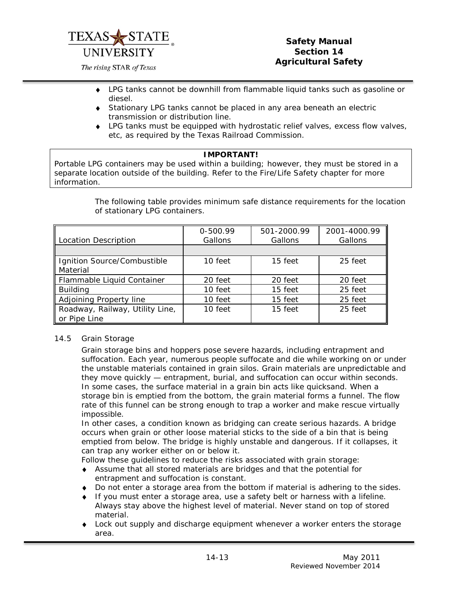

# **Safety Manual Section 14 Agricultural Safety**

- ♦ LPG tanks cannot be downhill from flammable liquid tanks such as gasoline or diesel.
- ♦ Stationary LPG tanks cannot be placed in any area beneath an electric transmission or distribution line.
- ♦ LPG tanks must be equipped with hydrostatic relief valves, excess flow valves, etc, as required by the Texas Railroad Commission.

# **IMPORTANT!**

*Portable LPG containers may be used within a building; however, they must be stored in a separate location outside of the building. Refer to the Fire/Life Safety chapter for more information.* 

> The following table provides minimum safe distance requirements for the location of stationary LPG containers.

| Location Description                            | 0-500.99<br>Gallons | 501-2000.99<br>Gallons | 2001-4000.99<br>Gallons |
|-------------------------------------------------|---------------------|------------------------|-------------------------|
|                                                 |                     |                        |                         |
| Ignition Source/Combustible<br>Material         | 10 feet             | 15 feet                | 25 feet                 |
| Flammable Liquid Container                      | 20 feet             | 20 feet                | 20 feet                 |
| <b>Building</b>                                 | 10 feet             | 15 feet                | 25 feet                 |
| Adjoining Property line                         | 10 feet             | 15 feet                | 25 feet                 |
| Roadway, Railway, Utility Line,<br>or Pipe Line | 10 feet             | 15 feet                | 25 feet                 |

#### <span id="page-12-0"></span>14.5 Grain Storage

Grain storage bins and hoppers pose severe hazards, including entrapment and suffocation. Each year, numerous people suffocate and die while working on or under the unstable materials contained in grain silos. Grain materials are unpredictable and they move quickly — entrapment, burial, and suffocation can occur within seconds. In some cases, the surface material in a grain bin acts like quicksand. When a storage bin is emptied from the bottom, the grain material forms a funnel. The flow rate of this funnel can be strong enough to trap a worker and make rescue virtually impossible.

In other cases, a condition known as bridging can create serious hazards. A bridge occurs when grain or other loose material sticks to the side of a bin that is being emptied from below. The bridge is highly unstable and dangerous. If it collapses, it can trap any worker either on or below it.

Follow these guidelines to reduce the risks associated with grain storage:

- ♦ Assume that all stored materials are bridges and that the potential for entrapment and suffocation is constant.
- ♦ Do not enter a storage area from the bottom if material is adhering to the sides.
- ♦ If you must enter a storage area, use a safety belt or harness with a lifeline. Always stay above the highest level of material. Never stand on top of stored material.
- ♦ Lock out supply and discharge equipment whenever a worker enters the storage area.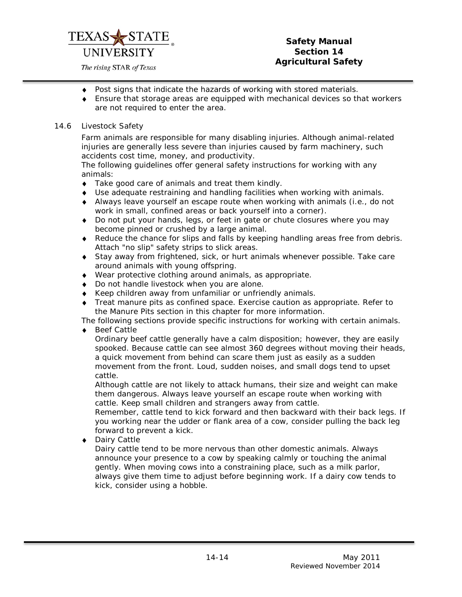

# **Safety Manual Section 14 Agricultural Safety**

- ♦ Post signs that indicate the hazards of working with stored materials.
- ♦ Ensure that storage areas are equipped with mechanical devices so that workers are not required to enter the area.

#### <span id="page-13-0"></span>14.6 Livestock Safety

Farm animals are responsible for many disabling injuries. Although animal-related injuries are generally less severe than injuries caused by farm machinery, such accidents cost time, money, and productivity.

The following guidelines offer general safety instructions for working with any animals:

- ♦ Take good care of animals and treat them kindly.
- ♦ Use adequate restraining and handling facilities when working with animals.
- ♦ Always leave yourself an escape route when working with animals (i.e., do not work in small, confined areas or back yourself into a corner).
- ♦ Do not put your hands, legs, or feet in gate or chute closures where you may become pinned or crushed by a large animal.
- ♦ Reduce the chance for slips and falls by keeping handling areas free from debris. Attach "no slip" safety strips to slick areas.
- ♦ Stay away from frightened, sick, or hurt animals whenever possible. Take care around animals with young offspring.
- ♦ Wear protective clothing around animals, as appropriate.
- ♦ Do not handle livestock when you are alone.
- ♦ Keep children away from unfamiliar or unfriendly animals.
- ♦ Treat manure pits as confined space. Exercise caution as appropriate. Refer to the Manure Pits section in this chapter for more information.

The following sections provide specific instructions for working with certain animals.

♦ Beef Cattle

Ordinary beef cattle generally have a calm disposition; however, they are easily spooked. Because cattle can see almost 360 degrees without moving their heads, a quick movement from behind can scare them just as easily as a sudden movement from the front. Loud, sudden noises, and small dogs tend to upset cattle.

Although cattle are not likely to attack humans, their size and weight can make them dangerous. Always leave yourself an escape route when working with cattle. Keep small children and strangers away from cattle.

Remember, cattle tend to kick forward and then backward with their back legs. If you working near the udder or flank area of a cow, consider pulling the back leg forward to prevent a kick.

Dairy Cattle

Dairy cattle tend to be more nervous than other domestic animals. Always announce your presence to a cow by speaking calmly or touching the animal gently. When moving cows into a constraining place, such as a milk parlor, always give them time to adjust before beginning work. If a dairy cow tends to kick, consider using a hobble.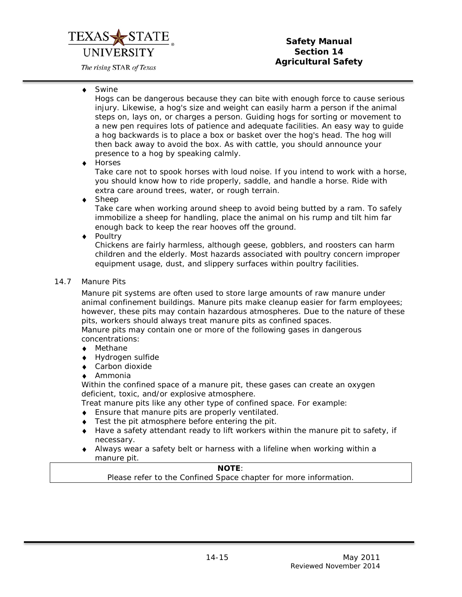# UNIVERSITY

The rising STAR of Texas

# **Safety Manual Section 14 Agricultural Safety**

♦ Swine

Hogs can be dangerous because they can bite with enough force to cause serious injury. Likewise, a hog's size and weight can easily harm a person if the animal steps on, lays on, or charges a person. Guiding hogs for sorting or movement to a new pen requires lots of patience and adequate facilities. An easy way to guide a hog backwards is to place a box or basket over the hog's head. The hog will then back away to avoid the box. As with cattle, you should announce your presence to a hog by speaking calmly.

♦ Horses

Take care not to spook horses with loud noise. If you intend to work with a horse, you should know how to ride properly, saddle, and handle a horse. Ride with extra care around trees, water, or rough terrain.

Sheep

Take care when working around sheep to avoid being butted by a ram. To safely immobilize a sheep for handling, place the animal on his rump and tilt him far enough back to keep the rear hooves off the ground.

♦ Poultry

Chickens are fairly harmless, although geese, gobblers, and roosters can harm children and the elderly. Most hazards associated with poultry concern improper equipment usage, dust, and slippery surfaces within poultry facilities.

<span id="page-14-0"></span>14.7 Manure Pits

Manure pit systems are often used to store large amounts of raw manure under animal confinement buildings. Manure pits make cleanup easier for farm employees; however, these pits may contain hazardous atmospheres. Due to the nature of these pits, workers should always treat manure pits as confined spaces. Manure pits may contain one or more of the following gases in dangerous concentrations:

- ♦ Methane
- ♦ Hydrogen sulfide
- ♦ Carbon dioxide
- ♦ Ammonia

Within the confined space of a manure pit, these gases can create an oxygen deficient, toxic, and/or explosive atmosphere.

Treat manure pits like any other type of confined space. For example:

- ♦ Ensure that manure pits are properly ventilated.
- ♦ Test the pit atmosphere before entering the pit.
- ♦ Have a safety attendant ready to lift workers within the manure pit to safety, if necessary.
- ♦ Always wear a safety belt or harness with a lifeline when working within a manure pit.

# **NOTE**:

Please refer to the Confined Space chapter for more information.